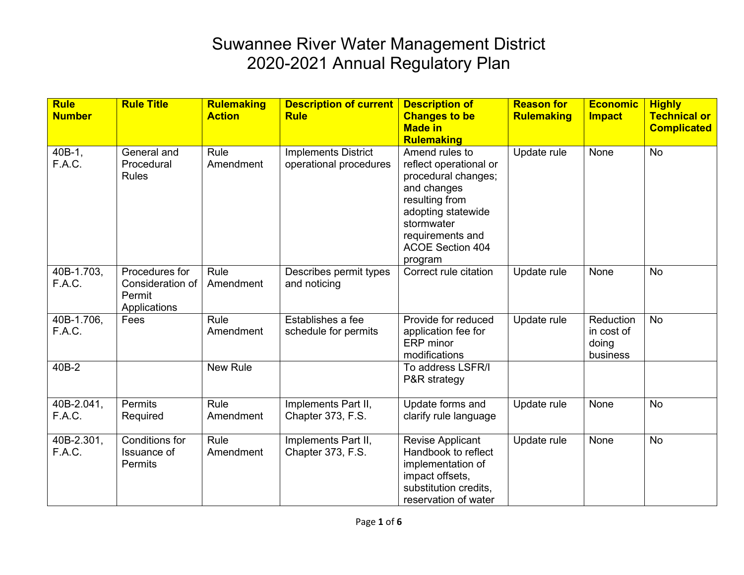| <b>Rule</b><br><b>Number</b> | <b>Rule Title</b>                                            | <b>Rulemaking</b><br><b>Action</b> | <b>Description of current</b><br><b>Rule</b>         | <b>Description of</b><br><b>Changes to be</b><br><b>Made in</b><br><b>Rulemaking</b>                                                                                                           | <b>Reason for</b><br><b>Rulemaking</b> | <b>Economic</b><br><b>Impact</b>             | <b>Highly</b><br><b>Technical or</b><br><b>Complicated</b> |
|------------------------------|--------------------------------------------------------------|------------------------------------|------------------------------------------------------|------------------------------------------------------------------------------------------------------------------------------------------------------------------------------------------------|----------------------------------------|----------------------------------------------|------------------------------------------------------------|
| 40B-1,<br>F.A.C.             | General and<br>Procedural<br><b>Rules</b>                    | Rule<br>Amendment                  | <b>Implements District</b><br>operational procedures | Amend rules to<br>reflect operational or<br>procedural changes;<br>and changes<br>resulting from<br>adopting statewide<br>stormwater<br>requirements and<br><b>ACOE Section 404</b><br>program | Update rule                            | None                                         | <b>No</b>                                                  |
| 40B-1.703,<br>F.A.C.         | Procedures for<br>Consideration of<br>Permit<br>Applications | Rule<br>Amendment                  | Describes permit types<br>and noticing               | Correct rule citation                                                                                                                                                                          | Update rule                            | None                                         | <b>No</b>                                                  |
| 40B-1.706,<br>F.A.C.         | Fees                                                         | Rule<br>Amendment                  | Establishes a fee<br>schedule for permits            | Provide for reduced<br>application fee for<br>ERP minor<br>modifications                                                                                                                       | Update rule                            | Reduction<br>in cost of<br>doing<br>business | <b>No</b>                                                  |
| 40B-2                        |                                                              | <b>New Rule</b>                    |                                                      | To address LSFR/I<br>P&R strategy                                                                                                                                                              |                                        |                                              |                                                            |
| 40B-2.041,<br>F.A.C.         | Permits<br>Required                                          | Rule<br>Amendment                  | Implements Part II,<br>Chapter 373, F.S.             | Update forms and<br>clarify rule language                                                                                                                                                      | Update rule                            | None                                         | <b>No</b>                                                  |
| 40B-2.301,<br>F.A.C.         | Conditions for<br>Issuance of<br><b>Permits</b>              | Rule<br>Amendment                  | Implements Part II,<br>Chapter 373, F.S.             | <b>Revise Applicant</b><br>Handbook to reflect<br>implementation of<br>impact offsets,<br>substitution credits,<br>reservation of water                                                        | Update rule                            | None                                         | <b>No</b>                                                  |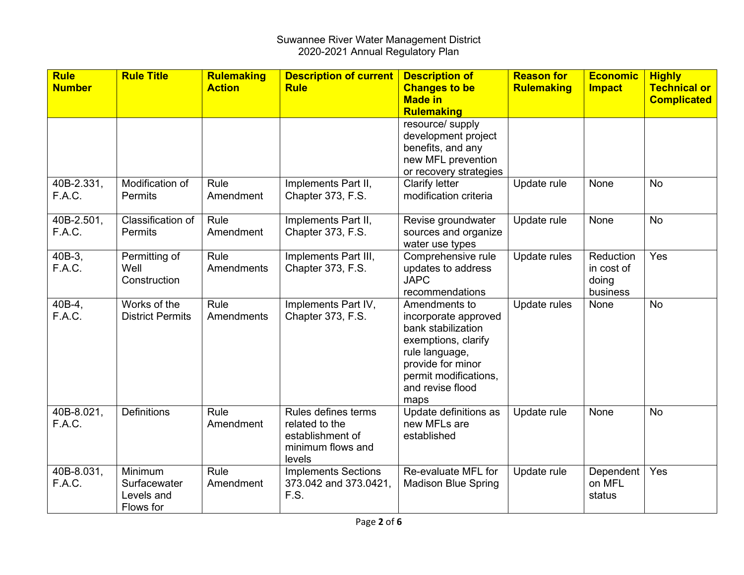| <b>Rule</b><br><b>Number</b> | <b>Rule Title</b>                                  | <b>Rulemaking</b><br><b>Action</b> | <b>Description of current</b><br><b>Rule</b>                                             | <b>Description of</b><br><b>Changes to be</b>                                                                                                                                  | <b>Reason for</b><br><b>Rulemaking</b> | <b>Economic</b><br><b>Impact</b>             | <b>Highly</b><br><b>Technical or</b> |
|------------------------------|----------------------------------------------------|------------------------------------|------------------------------------------------------------------------------------------|--------------------------------------------------------------------------------------------------------------------------------------------------------------------------------|----------------------------------------|----------------------------------------------|--------------------------------------|
|                              |                                                    |                                    |                                                                                          | <b>Made in</b><br><b>Rulemaking</b>                                                                                                                                            |                                        |                                              | <b>Complicated</b>                   |
|                              |                                                    |                                    |                                                                                          | resource/ supply<br>development project<br>benefits, and any<br>new MFL prevention<br>or recovery strategies                                                                   |                                        |                                              |                                      |
| 40B-2.331,<br>F.A.C.         | Modification of<br>Permits                         | Rule<br>Amendment                  | Implements Part II,<br>Chapter 373, F.S.                                                 | <b>Clarify letter</b><br>modification criteria                                                                                                                                 | Update rule                            | None                                         | <b>No</b>                            |
| 40B-2.501,<br>F.A.C.         | Classification of<br><b>Permits</b>                | Rule<br>Amendment                  | Implements Part II,<br>Chapter 373, F.S.                                                 | Revise groundwater<br>sources and organize<br>water use types                                                                                                                  | Update rule                            | None                                         | <b>No</b>                            |
| 40B-3,<br>F.A.C.             | Permitting of<br>Well<br>Construction              | Rule<br>Amendments                 | Implements Part III,<br>Chapter 373, F.S.                                                | Comprehensive rule<br>updates to address<br><b>JAPC</b><br>recommendations                                                                                                     | Update rules                           | Reduction<br>in cost of<br>doing<br>business | Yes                                  |
| 40B-4,<br>F.A.C.             | Works of the<br><b>District Permits</b>            | Rule<br>Amendments                 | Implements Part IV,<br>Chapter 373, F.S.                                                 | Amendments to<br>incorporate approved<br>bank stabilization<br>exemptions, clarify<br>rule language,<br>provide for minor<br>permit modifications,<br>and revise flood<br>maps | Update rules                           | None                                         | <b>No</b>                            |
| 40B-8.021,<br>F.A.C.         | <b>Definitions</b>                                 | Rule<br>Amendment                  | Rules defines terms<br>related to the<br>establishment of<br>minimum flows and<br>levels | Update definitions as<br>new MFLs are<br>established                                                                                                                           | Update rule                            | None                                         | <b>No</b>                            |
| 40B-8.031,<br>F.A.C.         | Minimum<br>Surfacewater<br>Levels and<br>Flows for | Rule<br>Amendment                  | <b>Implements Sections</b><br>373.042 and 373.0421,<br>F.S.                              | Re-evaluate MFL for<br><b>Madison Blue Spring</b>                                                                                                                              | Update rule                            | Dependent<br>on MFL<br>status                | Yes                                  |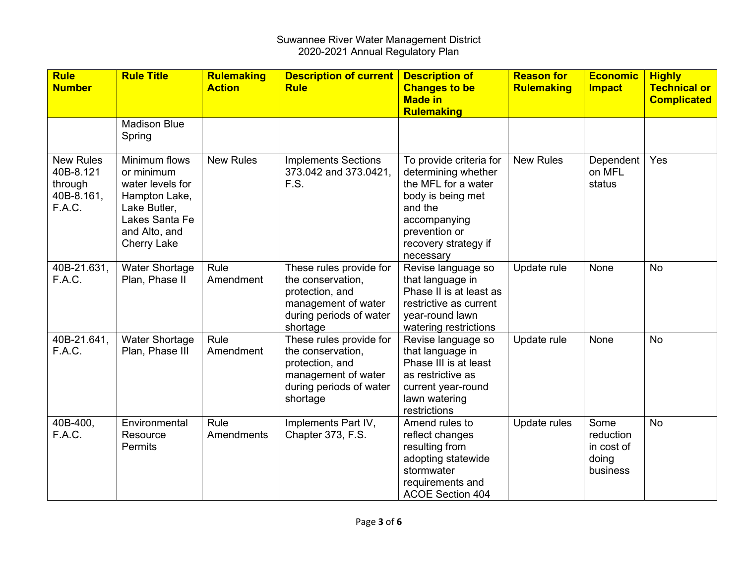| <b>Rule</b><br><b>Number</b>                                     | <b>Rule Title</b>                                                                                                                         | <b>Rulemaking</b><br><b>Action</b> | <b>Description of current</b><br><b>Rule</b>                                                                                  | <b>Description of</b><br><b>Changes to be</b><br><b>Made in</b>                                                                                                             | <b>Reason for</b><br><b>Rulemaking</b> | <b>Economic</b><br><b>Impact</b>                     | <b>Highly</b><br><b>Technical or</b><br><b>Complicated</b> |
|------------------------------------------------------------------|-------------------------------------------------------------------------------------------------------------------------------------------|------------------------------------|-------------------------------------------------------------------------------------------------------------------------------|-----------------------------------------------------------------------------------------------------------------------------------------------------------------------------|----------------------------------------|------------------------------------------------------|------------------------------------------------------------|
|                                                                  | <b>Madison Blue</b><br>Spring                                                                                                             |                                    |                                                                                                                               | <b>Rulemaking</b>                                                                                                                                                           |                                        |                                                      |                                                            |
| <b>New Rules</b><br>40B-8.121<br>through<br>40B-8.161,<br>F.A.C. | Minimum flows<br>or minimum<br>water levels for<br>Hampton Lake,<br>Lake Butler,<br>Lakes Santa Fe<br>and Alto, and<br><b>Cherry Lake</b> | <b>New Rules</b>                   | <b>Implements Sections</b><br>373.042 and 373.0421,<br>F.S.                                                                   | To provide criteria for<br>determining whether<br>the MFL for a water<br>body is being met<br>and the<br>accompanying<br>prevention or<br>recovery strategy if<br>necessary | <b>New Rules</b>                       | Dependent<br>on MFL<br>status                        | Yes                                                        |
| 40B-21.631,<br>F.A.C.                                            | <b>Water Shortage</b><br>Plan, Phase II                                                                                                   | Rule<br>Amendment                  | These rules provide for<br>the conservation,<br>protection, and<br>management of water<br>during periods of water<br>shortage | Revise language so<br>that language in<br>Phase II is at least as<br>restrictive as current<br>year-round lawn<br>watering restrictions                                     | Update rule                            | None                                                 | <b>No</b>                                                  |
| 40B-21.641,<br>F.A.C.                                            | <b>Water Shortage</b><br>Plan, Phase III                                                                                                  | Rule<br>Amendment                  | These rules provide for<br>the conservation,<br>protection, and<br>management of water<br>during periods of water<br>shortage | Revise language so<br>that language in<br>Phase III is at least<br>as restrictive as<br>current year-round<br>lawn watering<br>restrictions                                 | Update rule                            | None                                                 | <b>No</b>                                                  |
| 40B-400,<br>F.A.C.                                               | Environmental<br>Resource<br><b>Permits</b>                                                                                               | Rule<br>Amendments                 | Implements Part IV,<br>Chapter 373, F.S.                                                                                      | Amend rules to<br>reflect changes<br>resulting from<br>adopting statewide<br>stormwater<br>requirements and<br><b>ACOE Section 404</b>                                      | Update rules                           | Some<br>reduction<br>in cost of<br>doing<br>business | <b>No</b>                                                  |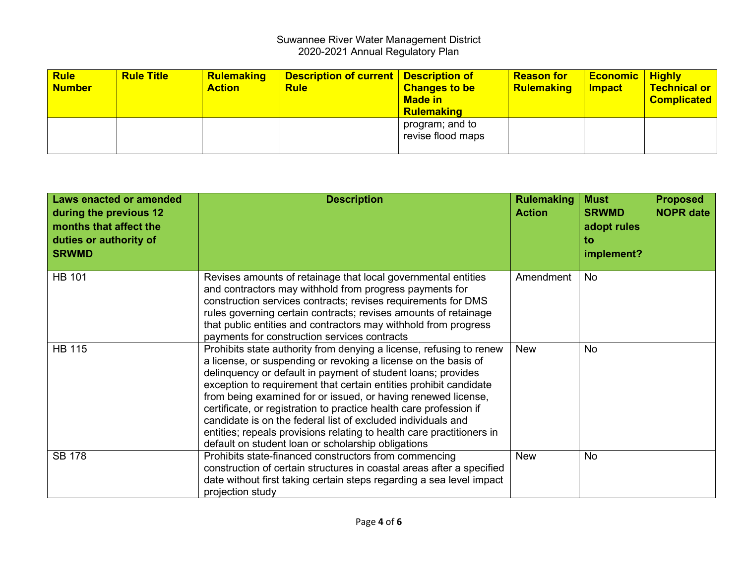| <b>Rule</b><br>Number | <b>Rule Title</b> | <b>Rulemaking</b><br><b>Action</b> | <b>Description of current   Description of</b><br><b>Rule</b> | <b>Changes to be</b><br><b>Made in</b><br>Rulemaking | <b>Reason for</b><br><b>Rulemaking</b> | <b>Economic Highly</b><br><b>Impact</b> | <b>Technical or</b><br><b>Complicated</b> |
|-----------------------|-------------------|------------------------------------|---------------------------------------------------------------|------------------------------------------------------|----------------------------------------|-----------------------------------------|-------------------------------------------|
|                       |                   |                                    |                                                               | program; and to<br>revise flood maps                 |                                        |                                         |                                           |

| <b>Laws enacted or amended</b><br>during the previous 12<br>months that affect the<br>duties or authority of<br><b>SRWMD</b> | <b>Description</b>                                                                                                                                                                                                                                                                                                                                                                                                                                                                                                                                                                                               | <b>Rulemaking</b><br><b>Action</b> | <b>Must</b><br><b>SRWMD</b><br>adopt rules<br>to<br>implement? | <b>Proposed</b><br><b>NOPR date</b> |
|------------------------------------------------------------------------------------------------------------------------------|------------------------------------------------------------------------------------------------------------------------------------------------------------------------------------------------------------------------------------------------------------------------------------------------------------------------------------------------------------------------------------------------------------------------------------------------------------------------------------------------------------------------------------------------------------------------------------------------------------------|------------------------------------|----------------------------------------------------------------|-------------------------------------|
| <b>HB 101</b>                                                                                                                | Revises amounts of retainage that local governmental entities<br>and contractors may withhold from progress payments for<br>construction services contracts; revises requirements for DMS<br>rules governing certain contracts; revises amounts of retainage<br>that public entities and contractors may withhold from progress<br>payments for construction services contracts                                                                                                                                                                                                                                  | Amendment                          | No                                                             |                                     |
| <b>HB 115</b>                                                                                                                | Prohibits state authority from denying a license, refusing to renew<br>a license, or suspending or revoking a license on the basis of<br>delinquency or default in payment of student loans; provides<br>exception to requirement that certain entities prohibit candidate<br>from being examined for or issued, or having renewed license,<br>certificate, or registration to practice health care profession if<br>candidate is on the federal list of excluded individuals and<br>entities; repeals provisions relating to health care practitioners in<br>default on student loan or scholarship obligations | <b>New</b>                         | No                                                             |                                     |
| <b>SB 178</b>                                                                                                                | Prohibits state-financed constructors from commencing<br>construction of certain structures in coastal areas after a specified<br>date without first taking certain steps regarding a sea level impact<br>projection study                                                                                                                                                                                                                                                                                                                                                                                       | <b>New</b>                         | No                                                             |                                     |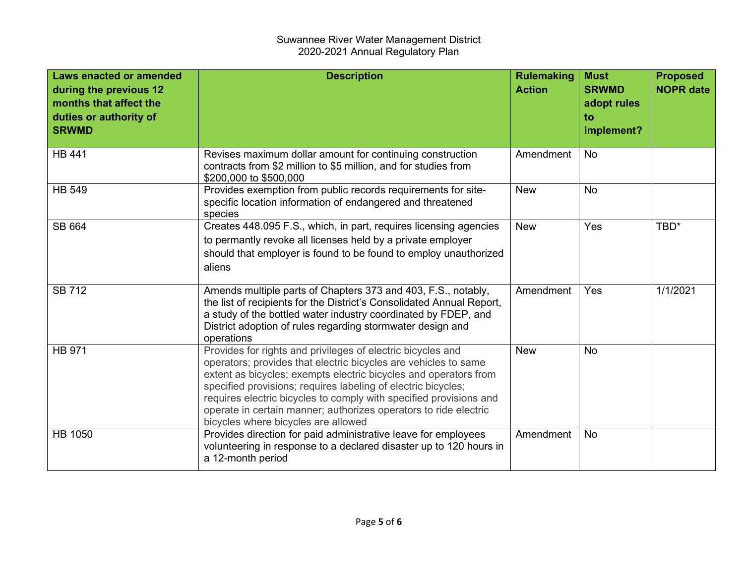| <b>Laws enacted or amended</b><br>during the previous 12<br>months that affect the<br>duties or authority of<br><b>SRWMD</b> | <b>Description</b>                                                                                                                                                                                                                                                                                                                                                                                                                                   | <b>Rulemaking</b><br><b>Action</b> | <b>Must</b><br><b>SRWMD</b><br>adopt rules<br>to<br>implement? | <b>Proposed</b><br><b>NOPR date</b> |
|------------------------------------------------------------------------------------------------------------------------------|------------------------------------------------------------------------------------------------------------------------------------------------------------------------------------------------------------------------------------------------------------------------------------------------------------------------------------------------------------------------------------------------------------------------------------------------------|------------------------------------|----------------------------------------------------------------|-------------------------------------|
| <b>HB 441</b>                                                                                                                | Revises maximum dollar amount for continuing construction<br>contracts from \$2 million to \$5 million, and for studies from<br>\$200,000 to \$500,000                                                                                                                                                                                                                                                                                               | Amendment                          | <b>No</b>                                                      |                                     |
| <b>HB 549</b>                                                                                                                | Provides exemption from public records requirements for site-<br>specific location information of endangered and threatened<br>species                                                                                                                                                                                                                                                                                                               | <b>New</b>                         | No                                                             |                                     |
| SB 664                                                                                                                       | Creates 448.095 F.S., which, in part, requires licensing agencies<br>to permantly revoke all licenses held by a private employer<br>should that employer is found to be found to employ unauthorized<br>aliens                                                                                                                                                                                                                                       | <b>New</b>                         | Yes                                                            | TBD*                                |
| <b>SB 712</b>                                                                                                                | Amends multiple parts of Chapters 373 and 403, F.S., notably,<br>the list of recipients for the District's Consolidated Annual Report,<br>a study of the bottled water industry coordinated by FDEP, and<br>District adoption of rules regarding stormwater design and<br>operations                                                                                                                                                                 | Amendment                          | Yes                                                            | 1/1/2021                            |
| <b>HB 971</b>                                                                                                                | Provides for rights and privileges of electric bicycles and<br>operators; provides that electric bicycles are vehicles to same<br>extent as bicycles; exempts electric bicycles and operators from<br>specified provisions; requires labeling of electric bicycles;<br>requires electric bicycles to comply with specified provisions and<br>operate in certain manner; authorizes operators to ride electric<br>bicycles where bicycles are allowed | <b>New</b>                         | No                                                             |                                     |
| <b>HB 1050</b>                                                                                                               | Provides direction for paid administrative leave for employees<br>volunteering in response to a declared disaster up to 120 hours in<br>a 12-month period                                                                                                                                                                                                                                                                                            | Amendment                          | <b>No</b>                                                      |                                     |